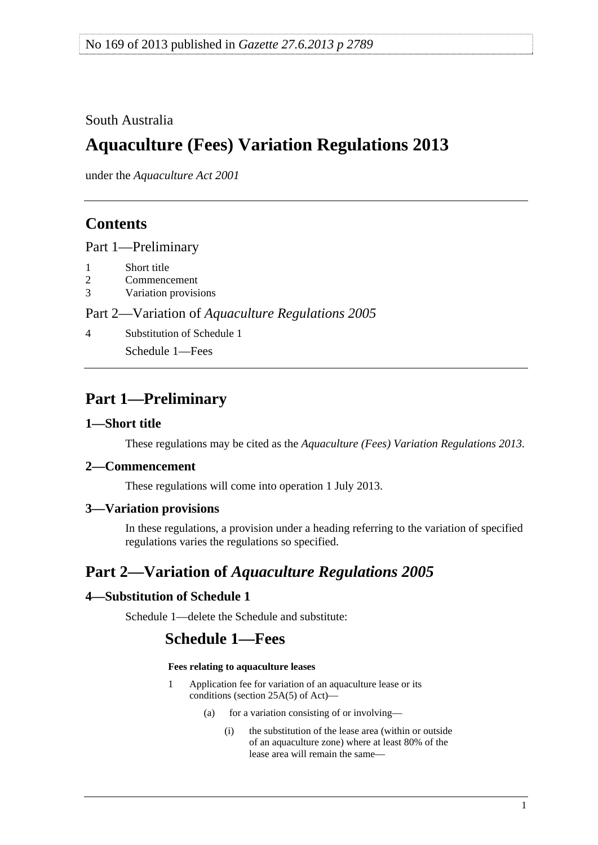## <span id="page-0-0"></span>South Australia

# **Aquaculture (Fees) Variation Regulations 2013**

under the *Aquaculture Act 2001*

## **Contents**

[Part 1—Preliminary](#page-0-0)

- [1 Short title](#page-0-0)
- [2 Commencement](#page-0-0)
- [3 Variation provisions](#page-0-0)

#### Part 2—Variation of *[Aquaculture Regulations 2005](#page-0-0)*

[4 Substitution of Schedule 1](#page-0-0)

[Schedule 1—Fees](#page-0-0) 

# **Part 1—Preliminary**

#### **1—Short title**

These regulations may be cited as the *Aquaculture (Fees) Variation Regulations 2013*.

#### **2—Commencement**

These regulations will come into operation 1 July 2013.

#### **3—Variation provisions**

In these regulations, a provision under a heading referring to the variation of specified regulations varies the regulations so specified.

# **Part 2—Variation of** *Aquaculture Regulations 2005*

### **4—Substitution of Schedule 1**

Schedule 1—delete the Schedule and substitute:

## **Schedule 1—Fees**

#### **Fees relating to aquaculture leases**

- 1 Application fee for variation of an aquaculture lease or its conditions (section 25A(5) of Act)—
	- (a) for a variation consisting of or involving—
		- (i) the substitution of the lease area (within or outside of an aquaculture zone) where at least 80% of the lease area will remain the same—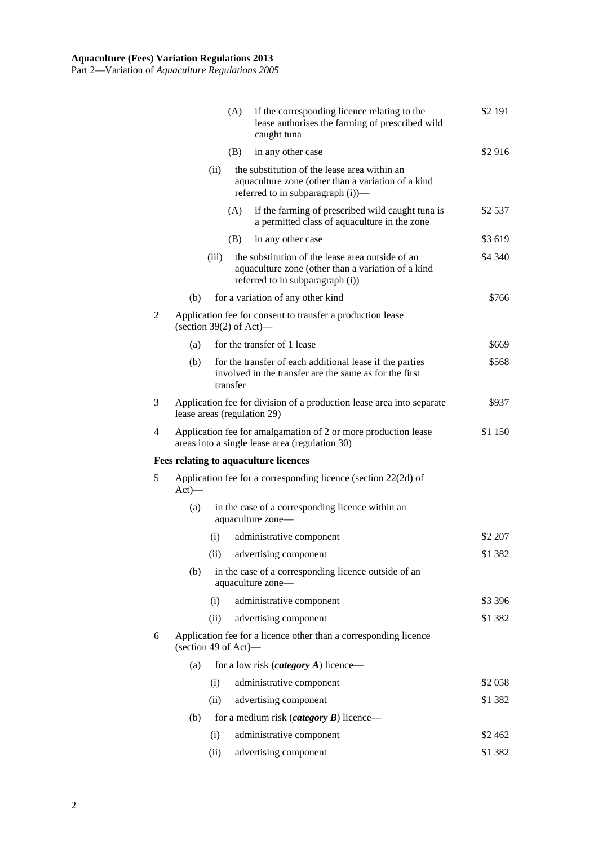|   |                                                                                          |                                                                                                                                                 | (A)                                                                   | if the corresponding licence relating to the<br>lease authorises the farming of prescribed wild<br>caught tuna                             | \$2 191 |  |  |
|---|------------------------------------------------------------------------------------------|-------------------------------------------------------------------------------------------------------------------------------------------------|-----------------------------------------------------------------------|--------------------------------------------------------------------------------------------------------------------------------------------|---------|--|--|
|   |                                                                                          |                                                                                                                                                 | (B)                                                                   | in any other case                                                                                                                          | \$2916  |  |  |
|   |                                                                                          | the substitution of the lease area within an<br>(ii)<br>aquaculture zone (other than a variation of a kind<br>referred to in subparagraph (i))— |                                                                       |                                                                                                                                            |         |  |  |
|   |                                                                                          |                                                                                                                                                 | (A)                                                                   | if the farming of prescribed wild caught tuna is<br>a permitted class of aquaculture in the zone                                           | \$2 537 |  |  |
|   |                                                                                          |                                                                                                                                                 | (B)                                                                   | in any other case                                                                                                                          | \$3 619 |  |  |
|   |                                                                                          | (iii)                                                                                                                                           |                                                                       | the substitution of the lease area outside of an<br>aquaculture zone (other than a variation of a kind<br>referred to in subparagraph (i)) | \$4 340 |  |  |
|   | (b)                                                                                      |                                                                                                                                                 |                                                                       | for a variation of any other kind                                                                                                          | \$766   |  |  |
| 2 | Application fee for consent to transfer a production lease<br>(section $39(2)$ of Act)—  |                                                                                                                                                 |                                                                       |                                                                                                                                            |         |  |  |
|   | (a)                                                                                      |                                                                                                                                                 |                                                                       | for the transfer of 1 lease                                                                                                                | \$669   |  |  |
|   | (b)                                                                                      |                                                                                                                                                 | transfer                                                              | for the transfer of each additional lease if the parties<br>involved in the transfer are the same as for the first                         | \$568   |  |  |
| 3 |                                                                                          | Application fee for division of a production lease area into separate<br>\$937<br>lease areas (regulation 29)                                   |                                                                       |                                                                                                                                            |         |  |  |
| 4 |                                                                                          | \$1 150<br>Application fee for amalgamation of 2 or more production lease<br>areas into a single lease area (regulation 30)                     |                                                                       |                                                                                                                                            |         |  |  |
|   |                                                                                          |                                                                                                                                                 |                                                                       | <b>Fees relating to aquaculture licences</b>                                                                                               |         |  |  |
| 5 | Application fee for a corresponding licence (section 22(2d) of<br>$Act)$ —               |                                                                                                                                                 |                                                                       |                                                                                                                                            |         |  |  |
|   | (a)                                                                                      |                                                                                                                                                 | in the case of a corresponding licence within an<br>aquaculture zone— |                                                                                                                                            |         |  |  |
|   |                                                                                          | (i)                                                                                                                                             |                                                                       | administrative component                                                                                                                   | \$2 207 |  |  |
|   |                                                                                          |                                                                                                                                                 |                                                                       | (ii) advertising component                                                                                                                 | \$1 382 |  |  |
|   | (b)                                                                                      |                                                                                                                                                 |                                                                       | in the case of a corresponding licence outside of an<br>aquaculture zone-                                                                  |         |  |  |
|   |                                                                                          | (i)                                                                                                                                             |                                                                       | administrative component                                                                                                                   | \$3 396 |  |  |
|   |                                                                                          | (ii)                                                                                                                                            |                                                                       | advertising component                                                                                                                      | \$1 382 |  |  |
| 6 | Application fee for a licence other than a corresponding licence<br>(section 49 of Act)- |                                                                                                                                                 |                                                                       |                                                                                                                                            |         |  |  |
|   | (a)                                                                                      |                                                                                                                                                 |                                                                       | for a low risk ( <i>category A</i> ) licence—                                                                                              |         |  |  |
|   |                                                                                          | (i)                                                                                                                                             |                                                                       | administrative component                                                                                                                   | \$2 058 |  |  |
|   |                                                                                          | (ii)                                                                                                                                            |                                                                       | advertising component                                                                                                                      | \$1 382 |  |  |
|   | (b)                                                                                      | for a medium risk ( <i>category</i> $\bm{B}$ ) licence—                                                                                         |                                                                       |                                                                                                                                            |         |  |  |
|   |                                                                                          | (i)                                                                                                                                             |                                                                       | administrative component                                                                                                                   | \$2462  |  |  |
|   |                                                                                          | (ii)                                                                                                                                            |                                                                       | advertising component                                                                                                                      | \$1 382 |  |  |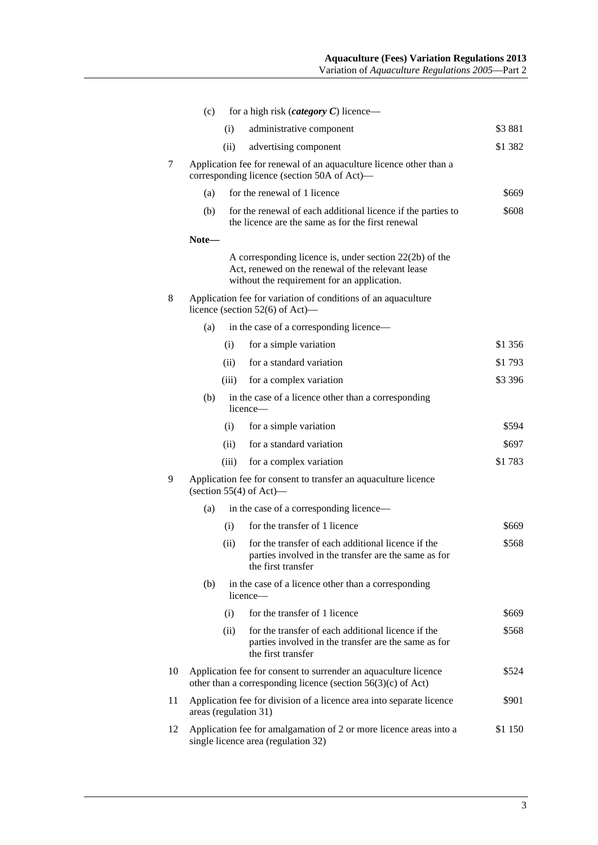| (c)   | for a high risk ( <i>category</i> $C$ ) licence—                                                                                                              |         |  |  |  |  |
|-------|---------------------------------------------------------------------------------------------------------------------------------------------------------------|---------|--|--|--|--|
|       | administrative component<br>(i)                                                                                                                               | \$3881  |  |  |  |  |
|       | (ii)<br>advertising component                                                                                                                                 | \$1 382 |  |  |  |  |
|       | Application fee for renewal of an aquaculture licence other than a<br>corresponding licence (section 50A of Act)—                                             |         |  |  |  |  |
| (a)   | for the renewal of 1 licence                                                                                                                                  | \$669   |  |  |  |  |
| (b)   | for the renewal of each additional licence if the parties to<br>the licence are the same as for the first renewal                                             | \$608   |  |  |  |  |
| Note- |                                                                                                                                                               |         |  |  |  |  |
|       | A corresponding licence is, under section $22(2b)$ of the<br>Act, renewed on the renewal of the relevant lease<br>without the requirement for an application. |         |  |  |  |  |
|       | Application fee for variation of conditions of an aquaculture<br>licence (section $52(6)$ of Act)—                                                            |         |  |  |  |  |
| (a)   | in the case of a corresponding licence-                                                                                                                       |         |  |  |  |  |
|       | for a simple variation<br>(i)                                                                                                                                 | \$1 356 |  |  |  |  |
|       | for a standard variation<br>(ii)                                                                                                                              | \$1793  |  |  |  |  |
|       | for a complex variation<br>(iii)                                                                                                                              | \$3 396 |  |  |  |  |
| (b)   | in the case of a licence other than a corresponding<br>licence-                                                                                               |         |  |  |  |  |
|       | for a simple variation<br>(i)                                                                                                                                 | \$594   |  |  |  |  |
|       | for a standard variation<br>(ii)                                                                                                                              | \$697   |  |  |  |  |
|       | for a complex variation<br>(iii)                                                                                                                              | \$1783  |  |  |  |  |
|       | Application fee for consent to transfer an aquaculture licence<br>(section $55(4)$ of Act)—                                                                   |         |  |  |  |  |
| (a)   | in the case of a corresponding licence—                                                                                                                       |         |  |  |  |  |
|       | for the transfer of 1 licence<br>(i)                                                                                                                          | \$669   |  |  |  |  |
|       | for the transfer of each additional licence if the<br>(ii)<br>parties involved in the transfer are the same as for<br>the first transfer                      | \$568   |  |  |  |  |
| (b)   | in the case of a licence other than a corresponding<br>licence—                                                                                               |         |  |  |  |  |
|       | for the transfer of 1 licence<br>(i)                                                                                                                          | \$669   |  |  |  |  |
|       | for the transfer of each additional licence if the<br>(ii)<br>parties involved in the transfer are the same as for<br>the first transfer                      | \$568   |  |  |  |  |
|       | Application fee for consent to surrender an aquaculture licence<br>other than a corresponding licence (section $56(3)(c)$ of Act)                             | \$524   |  |  |  |  |
|       | Application fee for division of a licence area into separate licence<br>areas (regulation 31)                                                                 | \$901   |  |  |  |  |
| 12    | Application fee for amalgamation of 2 or more licence areas into a<br>single licence area (regulation 32)                                                     | \$1 150 |  |  |  |  |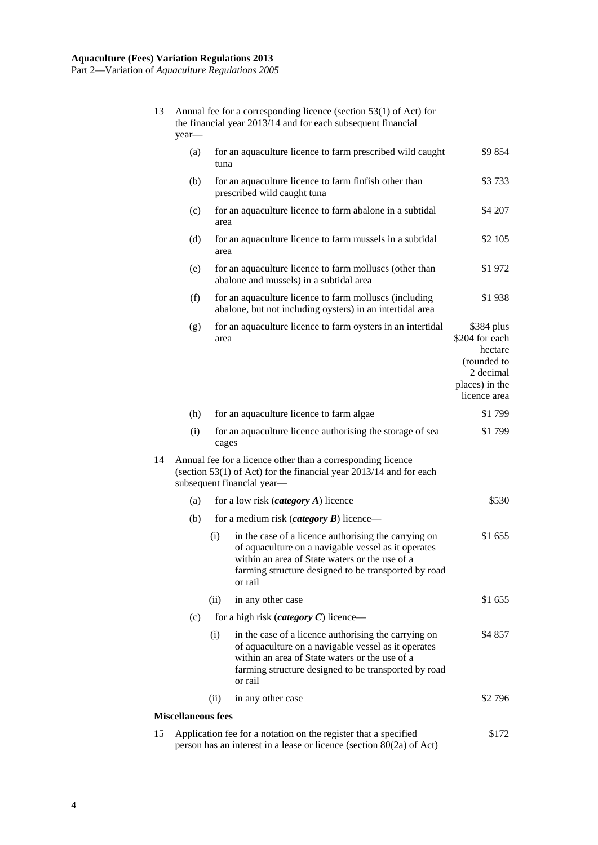| 13 | Annual fee for a corresponding licence (section 53(1) of Act) for<br>the financial year 2013/14 and for each subsequent financial<br>year- |                                                |                                                                                                                                                                                                                                  |                                                                                                       |  |
|----|--------------------------------------------------------------------------------------------------------------------------------------------|------------------------------------------------|----------------------------------------------------------------------------------------------------------------------------------------------------------------------------------------------------------------------------------|-------------------------------------------------------------------------------------------------------|--|
|    | (a)                                                                                                                                        |                                                | for an aquaculture licence to farm prescribed wild caught<br>tuna                                                                                                                                                                |                                                                                                       |  |
|    | (b)                                                                                                                                        |                                                | for an aquaculture licence to farm finfish other than<br>prescribed wild caught tuna                                                                                                                                             | \$3733                                                                                                |  |
|    | (c)                                                                                                                                        | area                                           | for an aquaculture licence to farm abalone in a subtidal                                                                                                                                                                         | \$4 207                                                                                               |  |
|    | (d)                                                                                                                                        | area                                           | for an aquaculture licence to farm mussels in a subtidal                                                                                                                                                                         | \$2 105                                                                                               |  |
|    | (e)                                                                                                                                        |                                                | for an aquaculture licence to farm molluscs (other than<br>abalone and mussels) in a subtidal area                                                                                                                               | \$1 972                                                                                               |  |
|    | (f)                                                                                                                                        |                                                | for an aquaculture licence to farm molluscs (including<br>abalone, but not including oysters) in an intertidal area                                                                                                              | \$1938                                                                                                |  |
|    | (g)                                                                                                                                        | area                                           | for an aquaculture licence to farm oysters in an intertidal                                                                                                                                                                      | \$384 plus<br>\$204 for each<br>hectare<br>(rounded to<br>2 decimal<br>places) in the<br>licence area |  |
|    | (h)                                                                                                                                        |                                                | for an aquaculture licence to farm algae                                                                                                                                                                                         | \$1799                                                                                                |  |
|    | (i)                                                                                                                                        | cages                                          | for an aquaculture licence authorising the storage of sea                                                                                                                                                                        | \$1799                                                                                                |  |
| 14 |                                                                                                                                            |                                                | Annual fee for a licence other than a corresponding licence<br>(section 53(1) of Act) for the financial year 2013/14 and for each<br>subsequent financial year-                                                                  |                                                                                                       |  |
|    | (a)                                                                                                                                        | for a low risk ( <i>category</i> $A$ ) licence |                                                                                                                                                                                                                                  | \$530                                                                                                 |  |
|    | (b)                                                                                                                                        |                                                | for a medium risk ( <i>category</i> $\bm{B}$ ) licence—                                                                                                                                                                          |                                                                                                       |  |
|    |                                                                                                                                            | (i)                                            | in the case of a licence authorising the carrying on<br>of aquaculture on a navigable vessel as it operates<br>within an area of State waters or the use of a<br>farming structure designed to be transported by road<br>or rail | \$1 655                                                                                               |  |
|    |                                                                                                                                            | (ii)                                           | in any other case                                                                                                                                                                                                                | \$1 655                                                                                               |  |
|    | (c)                                                                                                                                        |                                                | for a high risk ( <i>category</i> $C$ ) licence—                                                                                                                                                                                 |                                                                                                       |  |
|    |                                                                                                                                            | (i)                                            | in the case of a licence authorising the carrying on<br>of aquaculture on a navigable vessel as it operates<br>within an area of State waters or the use of a<br>farming structure designed to be transported by road<br>or rail | \$4 857                                                                                               |  |
|    |                                                                                                                                            | (11)                                           | in any other case                                                                                                                                                                                                                | \$2796                                                                                                |  |
|    | <b>Miscellaneous fees</b>                                                                                                                  |                                                |                                                                                                                                                                                                                                  |                                                                                                       |  |
| 15 | Application fee for a notation on the register that a specified                                                                            | \$172                                          |                                                                                                                                                                                                                                  |                                                                                                       |  |

person has an interest in a lease or licence (section 80(2a) of Act)